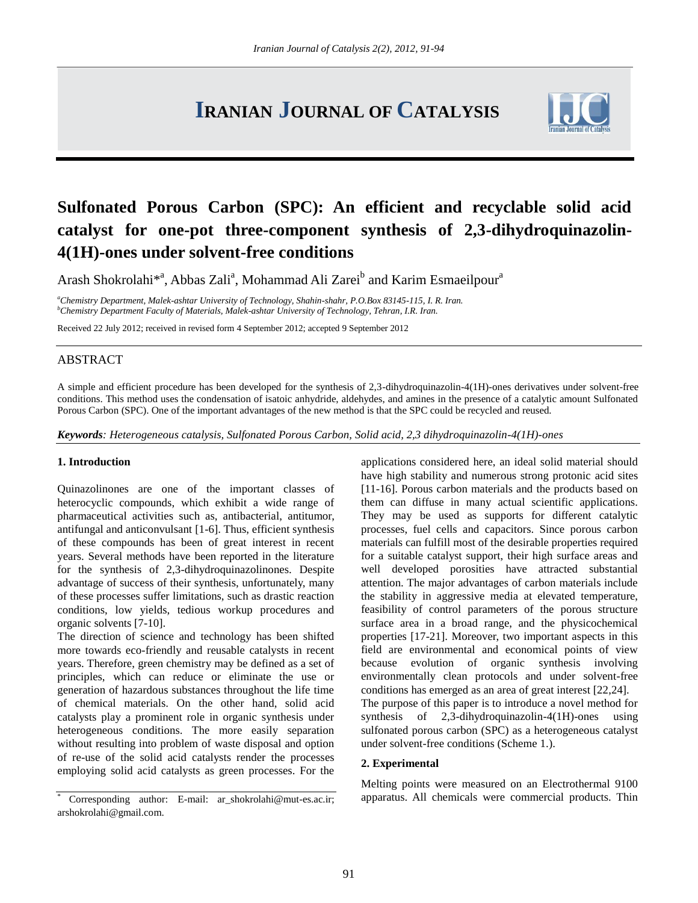# **IRANIAN JOURNAL OF CATALYSIS**



# **Sulfonated Porous Carbon (SPC): An efficient and recyclable solid acid catalyst for one-pot three-component synthesis of 2,3-dihydroquinazolin-4(1H)-ones under solvent-free conditions**

Arash Shokrolahi<sup>\*a</sup>, Abbas Zali<sup>a</sup>, Mohammad Ali Zarei<sup>b</sup> and Karim Esmaeilpour<sup>a</sup>

*<sup>a</sup>Chemistry Department, Malek-ashtar University of Technology, Shahin-shahr, P.O.Box 83145-115, I. R. Iran. <sup>b</sup>Chemistry Department Faculty of Materials, Malek-ashtar University of Technology, Tehran, I.R. Iran.*

Received 22 July 2012; received in revised form 4 September 2012; accepted 9 September 2012

# ABSTRACT

A simple and efficient procedure has been developed for the synthesis of 2,3-dihydroquinazolin-4(1H)-ones derivatives under solvent-free conditions. This method uses the condensation of isatoic anhydride, aldehydes, and amines in the presence of a catalytic amount Sulfonated Porous Carbon (SPC). One of the important advantages of the new method is that the SPC could be recycled and reused.

*Keywords: Heterogeneous catalysis, Sulfonated Porous Carbon, Solid acid, 2,3 dihydroquinazolin-4(1H)-ones*

#### **1. Introduction**

Quinazolinones are one of the important classes of heterocyclic compounds, which exhibit a wide range of pharmaceutical activities such as, antibacterial, antitumor, antifungal and anticonvulsant [1-6]. Thus, efficient synthesis of these compounds has been of great interest in recent years. Several methods have been reported in the literature for the synthesis of 2,3-dihydroquinazolinones. Despite advantage of success of their synthesis, unfortunately, many of these processes suffer limitations, such as drastic reaction conditions, low yields, tedious workup procedures and organic solvents [7-10].

The direction of science and technology has been shifted more towards eco-friendly and reusable catalysts in recent years. Therefore, green chemistry may be defined as a set of principles, which can reduce or eliminate the use or generation of hazardous substances throughout the life time of chemical materials. On the other hand, solid acid catalysts play a prominent role in organic synthesis under heterogeneous conditions. The more easily separation without resulting into problem of waste disposal and option of re-use of the solid acid catalysts render the processes employing solid acid catalysts as green processes. For the

applications considered here, an ideal solid material should have high stability and numerous strong protonic acid sites [11-16]. Porous carbon materials and the products based on them can diffuse in many actual scientific applications. They may be used as supports for different catalytic processes, fuel cells and capacitors. Since porous carbon materials can fulfill most of the desirable properties required for a suitable catalyst support, their high surface areas and well developed porosities have attracted substantial attention. The major advantages of carbon materials include the stability in aggressive media at elevated temperature, feasibility of control parameters of the porous structure surface area in a broad range, and the physicochemical properties [17-21]. Moreover, two important aspects in this field are environmental and economical points of view because evolution of organic synthesis involving environmentally clean protocols and under solvent-free conditions has emerged as an area of great interest [22,24].

The purpose of this paper is to introduce a novel method for synthesis of 2,3-dihydroquinazolin-4(1H)-ones using sulfonated porous carbon (SPC) as a heterogeneous catalyst under solvent-free conditions (Scheme 1.).

## **2. Experimental**

Melting points were measured on an Electrothermal 9100 apparatus. All chemicals were commercial products. Thin

Corresponding author: E-mail: ar\_shokrolahi@mut-es.ac.ir; arshokrolahi@gmail.com.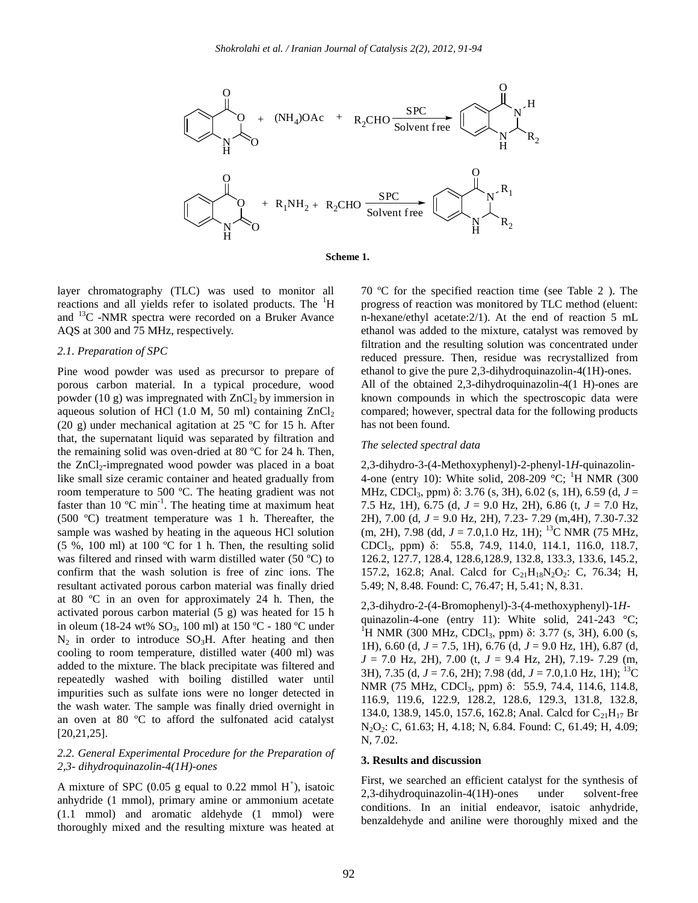

**Scheme 1.**

layer chromatography (TLC) was used to monitor all reactions and all yields refer to isolated products. The <sup>1</sup>H and <sup>13</sup>C -NMR spectra were recorded on a Bruker Avance AQS at 300 and 75 MHz, respectively.

# *2.1. Preparation of SPC*

Pine wood powder was used as precursor to prepare of porous carbon material. In a typical procedure, wood powder (10 g) was impregnated with  $ZnCl<sub>2</sub>$  by immersion in aqueous solution of HCl (1.0 M, 50 ml) containing  $ZnCl<sub>2</sub>$ (20 g) under mechanical agitation at 25 ºC for 15 h. After that, the supernatant liquid was separated by filtration and the remaining solid was oven-dried at 80 ºC for 24 h. Then, the  $ZnCl_2$ -impregnated wood powder was placed in a boat like small size ceramic container and heated gradually from room temperature to 500 ºC. The heating gradient was not faster than  $10^{\circ}$ C min<sup>-1</sup>. The heating time at maximum heat (500 ºC) treatment temperature was 1 h. Thereafter, the sample was washed by heating in the aqueous HCl solution (5 %, 100 ml) at 100 °C for 1 h. Then, the resulting solid was filtered and rinsed with warm distilled water (50 ºC) to confirm that the wash solution is free of zinc ions. The resultant activated porous carbon material was finally dried at 80 ºC in an oven for approximately 24 h. Then, the activated porous carbon material (5 g) was heated for 15 h in oleum (18-24 wt% SO<sub>3</sub>, 100 ml) at 150 °C - 180 °C under  $N_2$  in order to introduce SO<sub>3</sub>H. After heating and then cooling to room temperature, distilled water (400 ml) was added to the mixture. The black precipitate was filtered and repeatedly washed with boiling distilled water until impurities such as sulfate ions were no longer detected in the wash water. The sample was finally dried overnight in an oven at 80 ºC to afford the sulfonated acid catalyst [20,21,25].

# *2.2. General Experimental Procedure for the Preparation of 2,3- dihydroquinazolin-4(1H)-ones*

A mixture of SPC (0.05 g equal to 0.22 mmol  $H^+$ ), isatoic anhydride (1 mmol), primary amine or ammonium acetate (1.1 mmol) and aromatic aldehyde (1 mmol) were thoroughly mixed and the resulting mixture was heated at

70 ºC for the specified reaction time (see Table 2 ). The progress of reaction was monitored by TLC method (eluent: n-hexane/ethyl acetate:2/1). At the end of reaction 5 mL ethanol was added to the mixture, catalyst was removed by filtration and the resulting solution was concentrated under reduced pressure. Then, residue was recrystallized from ethanol to give the pure 2,3-dihydroquinazolin-4(1H)-ones. All of the obtained 2,3-dihydroquinazolin-4(1 H)-ones are known compounds in which the spectroscopic data were compared; however, spectral data for the following products has not been found.

#### *The selected spectral data*

2,3-dihydro-3-(4-Methoxyphenyl)-2-phenyl-1*H*-quinazolin-4-one (entry 10): White solid,  $208-209$  °C; <sup>1</sup>H NMR (300) MHz, CDCl3, ppm) δ: 3.76 (s, 3H), 6.02 (s, 1H), 6.59 (d, *J* = 7.5 Hz, 1H), 6.75 (d, *J* = 9.0 Hz, 2H), 6.86 (t, *J* = 7.0 Hz, 2H), 7.00 (d, *J* = 9.0 Hz, 2H), 7.23- 7.29 (m,4H), 7.30-7.32 (m, 2H), 7.98 (dd,  $J = 7.0, 1.0$  Hz, 1H); <sup>13</sup>C NMR (75 MHz, CDCl3, ppm) δ: 55.8, 74.9, 114.0, 114.1, 116.0, 118.7, 126.2, 127.7, 128.4, 128.6,128.9, 132.8, 133.3, 133.6, 145.2, 157.2, 162.8; Anal. Calcd for  $C_{21}H_{18}N_2O_2$ : C, 76.34; H, 5.49; N, 8.48. Found: C, 76.47; H, 5.41; N, 8.31.

2,3-dihydro-2-(4-Bromophenyl)-3-(4-methoxyphenyl)-1*H*quinazolin-4-one (entry 11): White solid, 241-243 °C; <sup>1</sup>H NMR (300 MHz, CDCl<sub>3</sub>, ppm) δ: 3.77 (s, 3H), 6.00 (s, 1H), 6.60 (d, *J* = 7.5, 1H), 6.76 (d, *J* = 9.0 Hz, 1H), 6.87 (d, *J* = 7.0 Hz, 2H), 7.00 (t, *J* = 9.4 Hz, 2H), 7.19- 7.29 (m, 3H), 7.35 (d, *J* = 7.6, 2H); 7.98 (dd, *J* = 7.0,1.0 Hz, 1H); <sup>13</sup>C NMR (75 MHz, CDCl<sub>3</sub>, ppm) δ: 55.9, 74.4, 114.6, 114.8, 116.9, 119.6, 122.9, 128.2, 128.6, 129.3, 131.8, 132.8, 134.0, 138.9, 145.0, 157.6, 162.8; Anal. Calcd for  $C_{21}H_{17}$  Br N2O2: C, 61.63; H, 4.18; N, 6.84. Found: C, 61.49; H, 4.09; N, 7.02.

# **3. Results and discussion**

First, we searched an efficient catalyst for the synthesis of 2,3-dihydroquinazolin-4(1H)-ones under solvent-free conditions. In an initial endeavor, isatoic anhydride, benzaldehyde and aniline were thoroughly mixed and the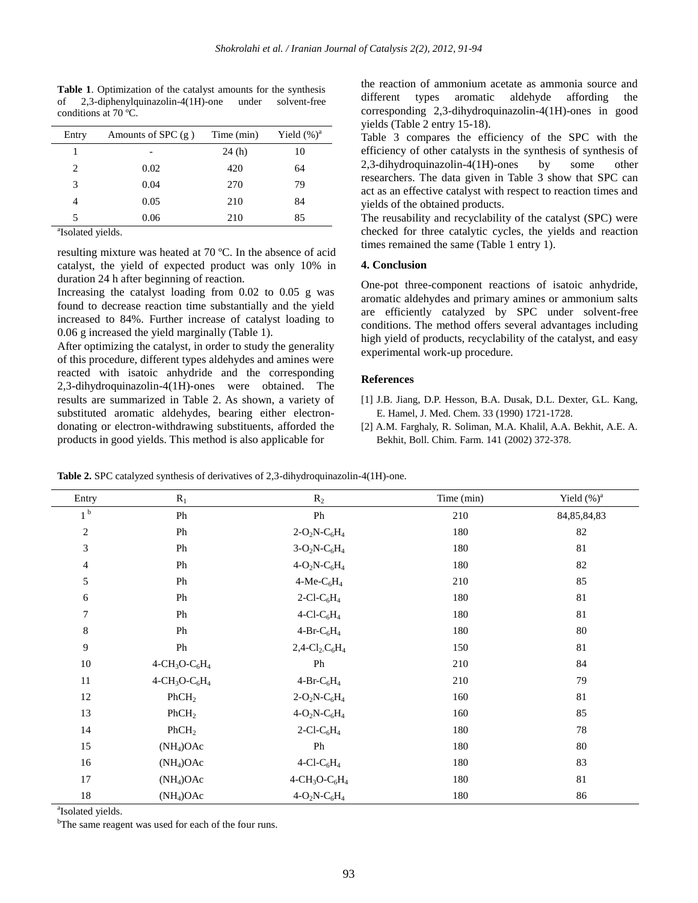**Table 1**. Optimization of the catalyst amounts for the synthesis of 2,3-diphenylquinazolin-4(1H)-one under solvent-free conditions at 70 ºC.

| Entry   | Amounts of SPC $(g)$ | Time (min) | Yield $(\%)^a$ |
|---------|----------------------|------------|----------------|
|         |                      | 24(h)      | 10             |
| 2       | 0.02                 | 420        | 64             |
| 3       | 0.04                 | 270        | 79             |
|         | 0.05                 | 210        | 84             |
| 5       | 0.06                 | 210        | 85             |
| $2 - 1$ | .                    |            |                |

<sup>a</sup>Isolated yields.

resulting mixture was heated at 70 ºC. In the absence of acid catalyst, the yield of expected product was only 10% in duration 24 h after beginning of reaction.

Increasing the catalyst loading from 0.02 to 0.05 g was found to decrease reaction time substantially and the yield increased to 84%. Further increase of catalyst loading to 0.06 g increased the yield marginally (Table 1).

After optimizing the catalyst, in order to study the generality of this procedure, different types aldehydes and amines were reacted with isatoic anhydride and the corresponding 2,3-dihydroquinazolin-4(1H)-ones were obtained. The results are summarized in Table 2. As shown, a variety of substituted aromatic aldehydes, bearing either electrondonating or electron-withdrawing substituents, afforded the products in good yields. This method is also applicable for

the reaction of ammonium acetate as ammonia source and different types aromatic aldehyde affording the corresponding 2,3-dihydroquinazolin-4(1H)-ones in good yields (Table 2 entry 15-18).

Table 3 compares the efficiency of the SPC with the efficiency of other catalysts in the synthesis of synthesis of 2,3-dihydroquinazolin-4(1H)-ones by some other researchers. The data given in Table 3 show that SPC can act as an effective catalyst with respect to reaction times and yields of the obtained products.

The reusability and recyclability of the catalyst (SPC) were checked for three catalytic cycles, the yields and reaction times remained the same (Table 1 entry 1).

## **4. Conclusion**

One-pot three-component reactions of isatoic anhydride, aromatic aldehydes and primary amines or ammonium salts are efficiently catalyzed by SPC under solvent-free conditions. The method offers several advantages including high yield of products, recyclability of the catalyst, and easy experimental work-up procedure.

#### **References**

- [1] J.B. Jiang, D.P. Hesson, B.A. Dusak, D.L. Dexter, G.L. Kang, E. Hamel, J. Med. Chem. 33 (1990) 1721-1728.
- [2] A.M. Farghaly, R. Soliman, M.A. Khalil, A.A. Bekhit, A.E. A. Bekhit, Boll. Chim. Farm. 141 (2002) 372-378.

**Table 2.** SPC catalyzed synthesis of derivatives of 2,3-dihydroquinazolin-4(1H)-one.

| Entry            | $R_1$             | $R_2$                                                 | Time (min) | Yield $(\%)^a$ |
|------------------|-------------------|-------------------------------------------------------|------------|----------------|
| 1 <sup>b</sup>   | Ph                | ${\rm Ph}$                                            | 210        | 84, 85, 84, 83 |
| $\boldsymbol{2}$ | Ph                | $2-O_2N-C_6H_4$                                       | 180        | 82             |
| 3                | Ph                | $3-O_2N-C_6H_4$                                       | 180        | 81             |
| $\overline{4}$   | Ph                | $4-O_2N-C_6H_4$                                       | 180        | 82             |
| 5                | Ph                | $4-Me-C6H4$                                           | 210        | 85             |
| $\sqrt{6}$       | Ph                | $2$ -Cl-C <sub>6</sub> H <sub>4</sub>                 | 180        | 81             |
| $\tau$           | Ph                | $4$ -Cl-C <sub>6</sub> H <sub>4</sub>                 | 180        | 81             |
| $\,8\,$          | Ph                | $4-Br-C6H4$                                           | 180        | 80             |
| $\mathbf{9}$     | Ph                | $2,4$ -Cl <sub>2</sub> -C <sub>6</sub> H <sub>4</sub> | 150        | $81\,$         |
| $10\,$           | $4 - CH3O - C6H4$ | Ph                                                    | 210        | 84             |
| $11\,$           | $4 - CH3O - C6H4$ | $4-Br-C6H4$                                           | 210        | 79             |
| 12               | PhCH <sub>2</sub> | $2-O_2N-C_6H_4$                                       | 160        | 81             |
| 13               | PhCH <sub>2</sub> | $4-O_2N-C_6H_4$                                       | 160        | 85             |
| 14               | PhCH <sub>2</sub> | $2$ -Cl-C <sub>6</sub> H <sub>4</sub>                 | 180        | $78\,$         |
| 15               | $(NH_4)OAc$       | ${\rm Ph}$                                            | 180        | $80\,$         |
| 16               | $(NH_4)OAc$       | $4$ -Cl-C <sub>6</sub> H <sub>4</sub>                 | 180        | 83             |
| 17               | $(NH_4)OAc$       | $4 - CH3O - C6H4$                                     | 180        | 81             |
| 18               | $(NH_4)OAc$       | $4-O_2N-C_6H_4$                                       | 180        | 86             |

<sup>a</sup>Isolated yields.

<sup>b</sup>The same reagent was used for each of the four runs.